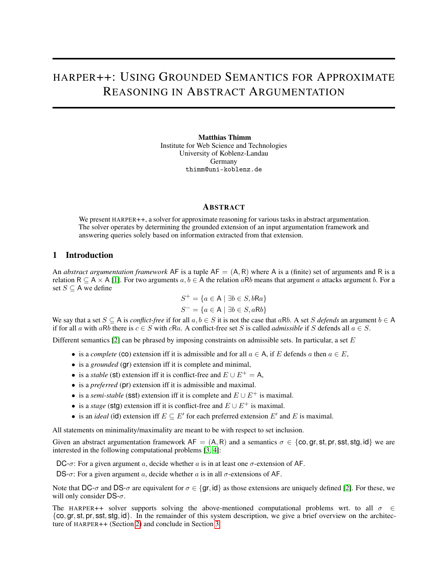# HARPER++: USING GROUNDED SEMANTICS FOR APPROXIMATE REASONING IN ABSTRACT ARGUMENTATION

Matthias Thimm Institute for Web Science and Technologies University of Koblenz-Landau Germany thimm@uni-koblenz.de

## **ABSTRACT**

We present HARPER++, a solver for approximate reasoning for various tasks in abstract argumentation. The solver operates by determining the grounded extension of an input argumentation framework and answering queries solely based on information extracted from that extension.

## 1 Introduction

An *abstract argumentation framework* AF is a tuple  $AF = (A, R)$  where A is a (finite) set of arguments and R is a relation R  $\subset$  A  $\times$  A [\[1\]](#page-1-0). For two arguments  $a, b \in A$  the relation aRb means that argument a attacks argument b. For a set  $S \subseteq A$  we define

$$
S^{+} = \{ a \in A \mid \exists b \in S, bRa \}
$$

$$
S^{-} = \{ a \in A \mid \exists b \in S, aRb \}
$$

We say that a set  $S \subseteq A$  is *conflict-free* if for all  $a, b \in S$  it is not the case that aRb. A set S defends an argument  $b \in A$ if for all a with aRb there is  $c \in S$  with cRa. A conflict-free set S is called *admissible* if S defends all  $a \in S$ .

Different semantics  $[2]$  can be phrased by imposing constraints on admissible sets. In particular, a set E

- is a *complete* (co) extension iff it is admissible and for all  $a \in A$ , if E defends a then  $a \in E$ ,
- is a *grounded* (**gr**) extension iff it is complete and minimal,
- is a *stable* (st) extension iff it is conflict-free and  $E \cup E^+ = A$ .
- is a *preferred* (pr) extension iff it is admissible and maximal.
- is a *semi-stable* (sst) extension iff it is complete and  $E \cup E^+$  is maximal.
- is a *stage* (stg) extension iff it is conflict-free and  $E \cup E^+$  is maximal.
- is an *ideal* (id) extension iff  $E \subseteq E'$  for each preferred extension  $E'$  and E is maximal.

All statements on minimality/maximality are meant to be with respect to set inclusion.

Given an abstract argumentation framework  $AF = (A, R)$  and a semantics  $\sigma \in \{\text{co}, \text{gr}, \text{st}, \text{pr}, \text{sst}, \text{std}\}\$ we are interested in the following computational problems [\[3,](#page-1-2) [4\]](#page-1-3):

DC- $\sigma$ : For a given argument a, decide whether a is in at least one  $\sigma$ -extension of AF.

DS- $\sigma$ : For a given argument a, decide whether a is in all  $\sigma$ -extensions of AF.

Note that DC- $\sigma$  and DS- $\sigma$  are equivalent for  $\sigma \in {\text{gr, id}}$  as those extensions are uniquely defined [\[2\]](#page-1-1). For these, we will only consider  $DS-\sigma$ .

The HARPER++ solver supports solving the above-mentioned computational problems wrt. to all  $\sigma \in$  ${co, gr, st, pr, sst, stg, id}.$  In the remainder of this system description, we give a brief overview on the architecture of HARPER++ (Section [2\)](#page-1-4) and conclude in Section [3.](#page-1-5)